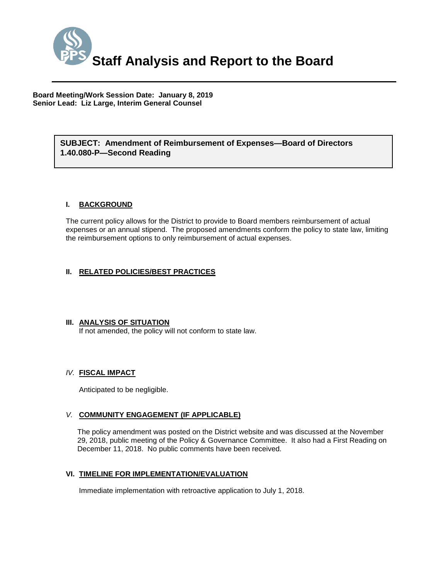

**Board Meeting/Work Session Date: January 8, 2019 Senior Lead: Liz Large, Interim General Counsel**

#### *(Use this section to briefly explain the item—2-3 sentences)* **SUBJECT: Amendment of Reimbursement of Expenses—Board of Directors 1.40.080-P—Second Reading**

#### **I. BACKGROUND**

The current policy allows for the District to provide to Board members reimbursement of actual expenses or an annual stipend. The proposed amendments conform the policy to state law, limiting the reimbursement options to only reimbursement of actual expenses.

#### **II. RELATED POLICIES/BEST PRACTICES**

#### **III. ANALYSIS OF SITUATION**

If not amended, the policy will not conform to state law.

#### *IV.* **FISCAL IMPACT**

Anticipated to be negligible.

#### *V.* **COMMUNITY ENGAGEMENT (IF APPLICABLE)**

The policy amendment was posted on the District website and was discussed at the November 29, 2018, public meeting of the Policy & Governance Committee. It also had a First Reading on December 11, 2018. No public comments have been received.

#### **VI. TIMELINE FOR IMPLEMENTATION/EVALUATION**

Immediate implementation with retroactive application to July 1, 2018.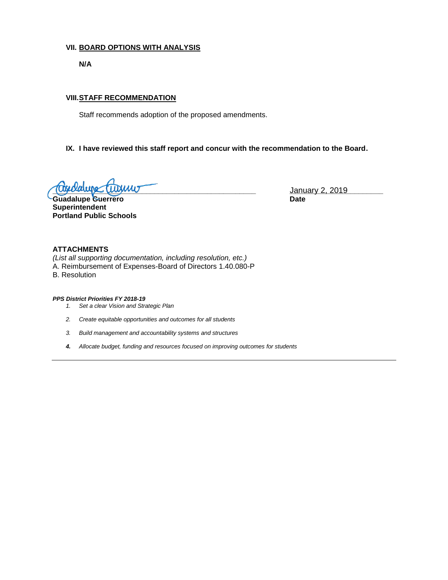#### **VII. BOARD OPTIONS WITH ANALYSIS**

**N/A**

#### **VIII.STAFF RECOMMENDATION**

Staff recommends adoption of the proposed amendments.

#### **IX. I have reviewed this staff report and concur with the recommendation to the Board.**

**\_\_\_\_\_\_\_\_\_\_\_\_\_\_\_\_\_\_\_\_\_\_\_\_\_\_\_\_\_\_\_\_\_\_\_\_\_\_\_\_\_\_\_\_\_\_\_\_\_\_ \_\_\_\_\_\_\_\_\_\_\_\_\_\_\_\_\_\_\_\_\_\_\_** January 2, 2019

Guadalupe Guerrero **Date Superintendent Portland Public Schools**

#### **ATTACHMENTS**

*(List all supporting documentation, including resolution, etc.)* A. Reimbursement of Expenses-Board of Directors 1.40.080-P B. Resolution

#### *PPS District Priorities FY 2018-19*

- *1. Set a clear Vision and Strategic Plan*
- *2. Create equitable opportunities and outcomes for all students*
- *3. Build management and accountability systems and structures*
- *4. Allocate budget, funding and resources focused on improving outcomes for students*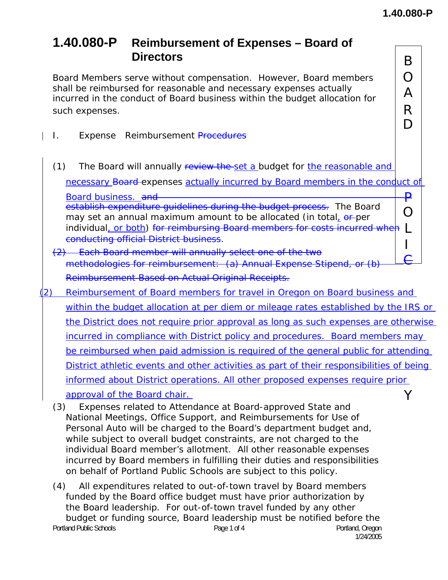A

D

## **1.40.080-P Reimbursement of Expenses – Board of Directors** B

Board Members serve without compensation. However, Board members  $\Box$   $\Box$ shall be reimbursed for reasonable and necessary expenses actually incurred in the conduct of Board business within the budget allocation for such expenses.  $\overline{\mathsf{R}}$ 

- I. Expense Reimbursement Procedures
- (1) The Board will annually review the set a budget for the reasonable and

necessary Board expenses actually incurred by Board members in the conduct of

 $\Omega$ Board business. and **P** establish expenditure guidelines during the budget process. The Board may set an annual maximum amount to be allocated (in total, or per individual, or both) for reimbursing Board members for costs incurred when [1] conducting official District business.

- conducting official District business.<br>  $\left(2\right)$  Each Board member will annually select one of the two  $\left| \begin{array}{c} 1 \\ \text{f} \end{array} \right|$ methodologies for reimbursement: (a) Annual Expense Stipend, or (b) Reimbursement Based on Actual Original Receipts.
- (2) Reimbursement of Board members for travel in Oregon on Board business and within the budget allocation at per diem or mileage rates established by the IRS or the District does not require prior approval as long as such expenses are otherwise incurred in compliance with District policy and procedures. Board members may be reimbursed when paid admission is required of the general public for attending District athletic events and other activities as part of their responsibilities of being informed about District operations. All other proposed expenses require prior approval of the Board chair. The version of the Board chair.
	- (3) Expenses related to Attendance at Board-approved State and National Meetings, Office Support, and Reimbursements for Use of Personal Auto will be charged to the Board's department budget and, while subject to overall budget constraints, are not charged to the individual Board member's allotment. All other reasonable expenses incurred by Board members in fulfilling their duties and responsibilities on behalf of Portland Public Schools are subject to this policy.
	- Portland Public Schools **Page 1 of 4** Portland, Oregon Page 1 of 4 1/24/2005 (4) All expenditures related to out-of-town travel by Board members funded by the Board office budget must have prior authorization by the Board leadership. For out-of-town travel funded by any other budget or funding source, Board leadership must be notified before the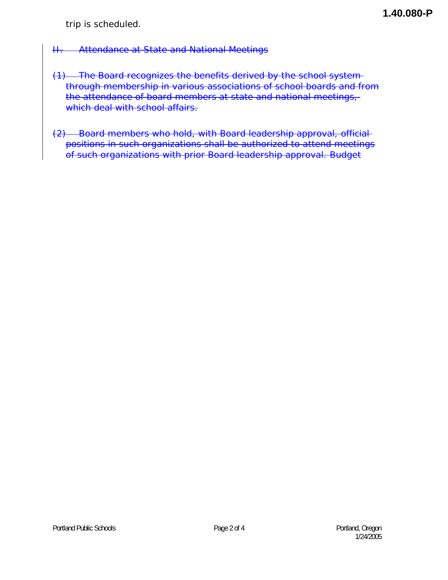### II. Attendance at State and National Meetings

- (1) The Board recognizes the benefits derived by the school system through membership in various associations of school boards and from the attendance of board members at state and national meetings, which deal with school affairs.
- (2) Board members who hold, with Board leadership approval, official positions in such organizations shall be authorized to attend meetings of such organizations with prior Board leadership approval. Budget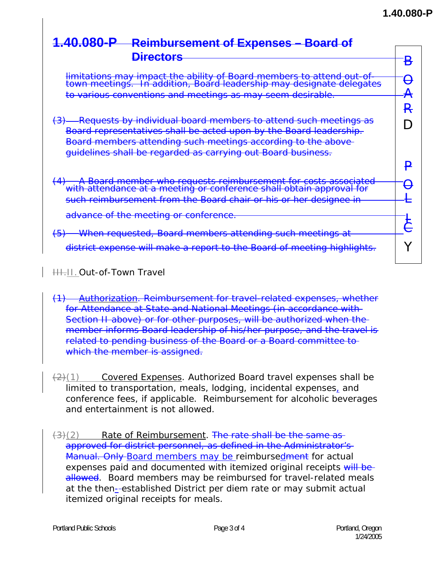# **1.40.080-P Reimbursement of Expenses – Board of**

| <b>Directors</b>                                                                                                                              |                          |
|-----------------------------------------------------------------------------------------------------------------------------------------------|--------------------------|
|                                                                                                                                               |                          |
| limitations may impact the ability of Board members to attend out-of-<br>town meetings. In addition, Board leadership may designate delegates | $\overline{\phantom{0}}$ |
|                                                                                                                                               |                          |
| to various conventions and meetings as may seem desirable.                                                                                    |                          |
|                                                                                                                                               |                          |
| Requests by individual board members to attend such meetings as<br>$\left(\frac{3}{2}\right)$                                                 |                          |
| Board representatives shall be acted upon by the Board leadership.                                                                            |                          |
| Board members attending such meetings according to the above-                                                                                 |                          |
| guidelines shall be regarded as carrying out Board business.                                                                                  |                          |
|                                                                                                                                               |                          |
| 4) A Board member who requests reimbursement for costs associated<br>with attendance at a meeting or conference shall obtain approval for     |                          |
|                                                                                                                                               |                          |
| such reimbursement from the Board chair or his or her designee in                                                                             |                          |
| advance of the meeting or conference.                                                                                                         |                          |
|                                                                                                                                               |                          |
| When requested, Board members attending such meetings at<br><del>(5)</del>                                                                    |                          |
| district expense will make a report to the Board of meeting highlights.                                                                       |                          |
|                                                                                                                                               |                          |

HH.II. Out-of-Town Travel

- (1) Authorization. Reimbursement for travel-related expenses, whether for Attendance at State and National Meetings (in accordance with Section II above) or for other purposes, will be authorized when the member informs Board leadership of his/her purpose, and the travel is related to pending business of the Board or a Board committee to which the member is assigned.
- $\frac{2}{2}(1)$  Covered Expenses. Authorized Board travel expenses shall be limited to transportation, meals, lodging, incidental expenses, and conference fees, if applicable. Reimbursement for alcoholic beverages and entertainment is not allowed.
- $(3)(2)$  Rate of Reimbursement. The rate shall be the same as approved for district personnel, as defined in the Administrator's Manual. Only Board members may be reimbursedment for actual expenses paid and documented with itemized original receipts will beallowed. Board members may be reimbursed for travel-related meals at the then-established District per diem rate or may submit actual itemized original receipts for meals.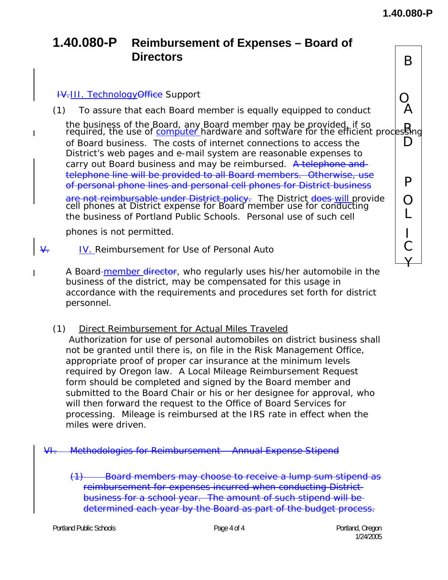Y

## **1.40.080-P Reimbursement of Expenses – Board of Directors** B

 $\overline{\phantom{a}}$ 

 $\frac{44.111}{10}$ . Technology Office Support<br>
1) To assure that each Board member is equally equipped to conduct (1) To assure that each Board member is equally equipped to conduct A

the business of the Board, any Board member may be provided, if so  $R$ <br>required, the use of *computer* hardware and software for the efficient processing of Board business. The costs of internet connections to access the  $\hskip10mm \square$ District's web pages and e-mail system are reasonable expenses to carry out Board business and may be reimbursed. A telephone and telephone line will be provided to all Board members. Otherwise, use of personal phone lines and personal cell phones for District business **P** are not reimbursable under District policy. <mark>are not reimbursable under District policy</mark>. The District <del>does </del>will provide  $\big|$  **O**<br>cell phones at District expense for Board member use for conducting

the business of Portland Public Schools. Personal use of such cell  $\overline{C}$ phones is not permitted. I

- $\overline{V}$ . IV. Reimbursement for Use of Personal Auto  $\overline{C}$
- A Board-member director, who regularly uses his/her automobile in the business of the district, may be compensated for this usage in accordance with the requirements and procedures set forth for district personnel.
	- (1) Direct Reimbursement for Actual Miles Traveled Authorization for use of personal automobiles on district business shall not be granted until there is, on file in the Risk Management Office, appropriate proof of proper car insurance at the minimum levels required by Oregon law. A Local Mileage Reimbursement Request form should be completed and signed by the Board member and submitted to the Board Chair or his or her designee for approval, who will then forward the request to the Office of Board Services for processing. Mileage is reimbursed at the IRS rate in effect when the miles were driven.

VI. Methodologies for Reimbursement – Annual Expense Stipend

(1) Board members may choose to receive a lump sum stipend as reimbursement for expenses incurred when conducting District business for a school year. The amount of such stipend will be determined each year by the Board as part of the budget process.

Portland Public Schools **Page 4 of 4** Portland, Oregon Portland, Oregon